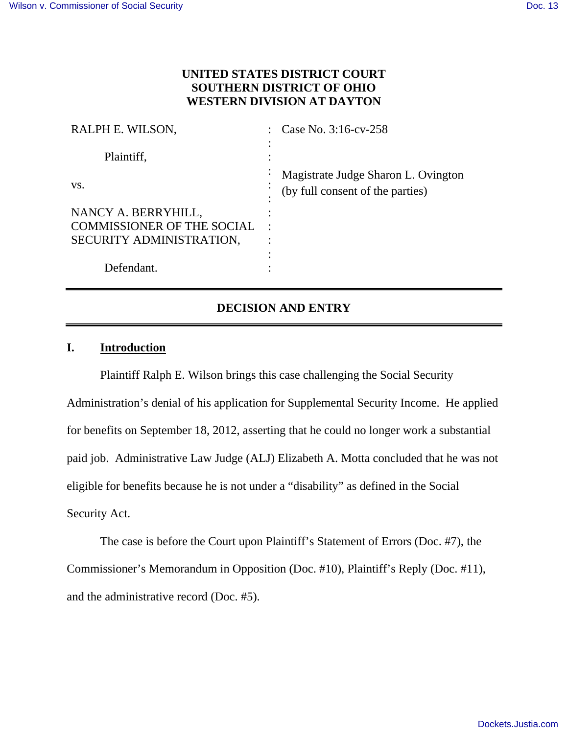# **UNITED STATES DISTRICT COURT SOUTHERN DISTRICT OF OHIO WESTERN DIVISION AT DAYTON**

| RALPH E. WILSON,                  |           | Case No. 3:16-cv-258                                                    |
|-----------------------------------|-----------|-------------------------------------------------------------------------|
| Plaintiff,                        |           |                                                                         |
| VS.                               | ٠         | Magistrate Judge Sharon L. Ovington<br>(by full consent of the parties) |
| NANCY A. BERRYHILL,               |           |                                                                         |
| <b>COMMISSIONER OF THE SOCIAL</b> | $\bullet$ |                                                                         |
| SECURITY ADMINISTRATION,          |           |                                                                         |
|                                   |           |                                                                         |
| Defendant.                        |           |                                                                         |

# **DECISION AND ENTRY**

# **I. Introduction**

Plaintiff Ralph E. Wilson brings this case challenging the Social Security Administration's denial of his application for Supplemental Security Income. He applied for benefits on September 18, 2012, asserting that he could no longer work a substantial paid job. Administrative Law Judge (ALJ) Elizabeth A. Motta concluded that he was not eligible for benefits because he is not under a "disability" as defined in the Social Security Act.

The case is before the Court upon Plaintiff's Statement of Errors (Doc. #7), the Commissioner's Memorandum in Opposition (Doc. #10), Plaintiff's Reply (Doc. #11), and the administrative record (Doc. #5).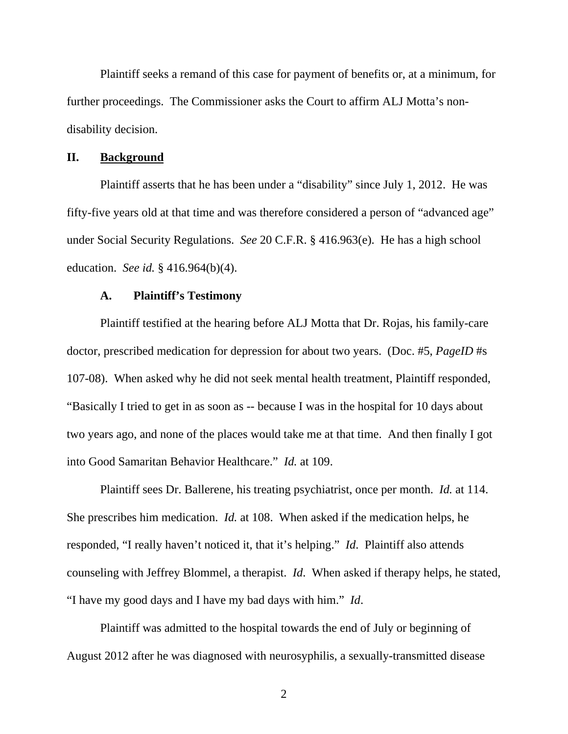Plaintiff seeks a remand of this case for payment of benefits or, at a minimum, for further proceedings. The Commissioner asks the Court to affirm ALJ Motta's nondisability decision.

#### **II. Background**

Plaintiff asserts that he has been under a "disability" since July 1, 2012. He was fifty-five years old at that time and was therefore considered a person of "advanced age" under Social Security Regulations. *See* 20 C.F.R. § 416.963(e). He has a high school education. *See id.* § 416.964(b)(4).

#### **A. Plaintiff's Testimony**

Plaintiff testified at the hearing before ALJ Motta that Dr. Rojas, his family-care doctor, prescribed medication for depression for about two years. (Doc. #5, *PageID* #s 107-08). When asked why he did not seek mental health treatment, Plaintiff responded, "Basically I tried to get in as soon as -- because I was in the hospital for 10 days about two years ago, and none of the places would take me at that time. And then finally I got into Good Samaritan Behavior Healthcare." *Id.* at 109.

Plaintiff sees Dr. Ballerene, his treating psychiatrist, once per month. *Id.* at 114. She prescribes him medication. *Id.* at 108. When asked if the medication helps, he responded, "I really haven't noticed it, that it's helping." *Id*. Plaintiff also attends counseling with Jeffrey Blommel, a therapist. *Id*. When asked if therapy helps, he stated, "I have my good days and I have my bad days with him." *Id*.

Plaintiff was admitted to the hospital towards the end of July or beginning of August 2012 after he was diagnosed with neurosyphilis, a sexually-transmitted disease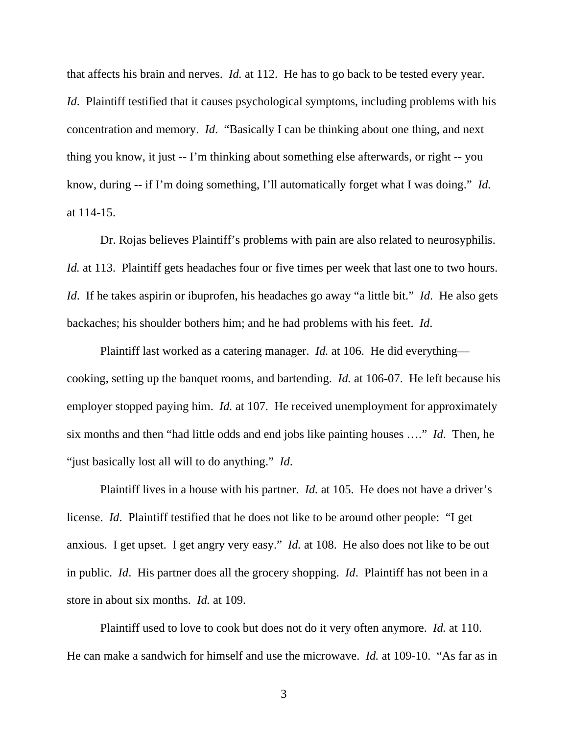that affects his brain and nerves. *Id.* at 112. He has to go back to be tested every year. *Id.* Plaintiff testified that it causes psychological symptoms, including problems with his concentration and memory. *Id*. "Basically I can be thinking about one thing, and next thing you know, it just -- I'm thinking about something else afterwards, or right -- you know, during -- if I'm doing something, I'll automatically forget what I was doing." *Id.* at 114-15.

Dr. Rojas believes Plaintiff's problems with pain are also related to neurosyphilis. *Id.* at 113. Plaintiff gets headaches four or five times per week that last one to two hours. *Id*. If he takes aspirin or ibuprofen, his headaches go away "a little bit." *Id*. He also gets backaches; his shoulder bothers him; and he had problems with his feet. *Id*.

Plaintiff last worked as a catering manager. *Id.* at 106. He did everything cooking, setting up the banquet rooms, and bartending. *Id.* at 106-07. He left because his employer stopped paying him. *Id.* at 107. He received unemployment for approximately six months and then "had little odds and end jobs like painting houses …." *Id*. Then, he "just basically lost all will to do anything." *Id*.

Plaintiff lives in a house with his partner. *Id.* at 105. He does not have a driver's license. *Id*. Plaintiff testified that he does not like to be around other people: "I get anxious. I get upset. I get angry very easy." *Id.* at 108. He also does not like to be out in public. *Id*. His partner does all the grocery shopping. *Id*. Plaintiff has not been in a store in about six months. *Id.* at 109.

Plaintiff used to love to cook but does not do it very often anymore. *Id.* at 110. He can make a sandwich for himself and use the microwave. *Id.* at 109-10. "As far as in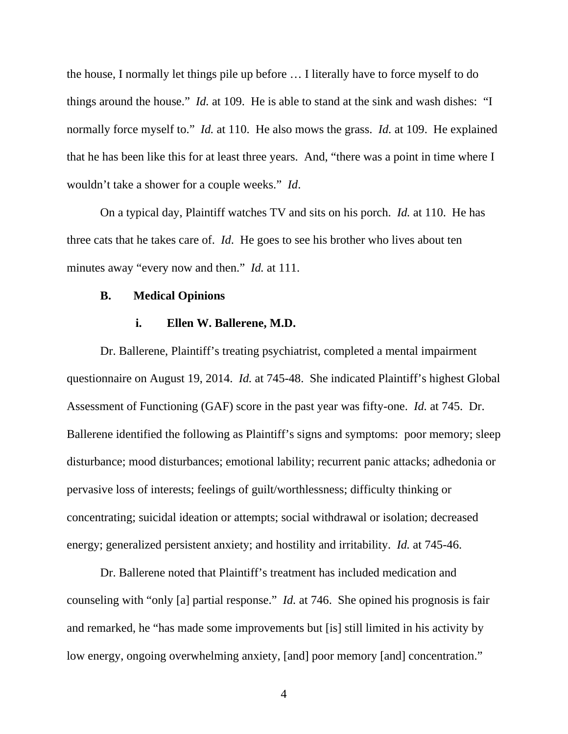the house, I normally let things pile up before … I literally have to force myself to do things around the house." *Id.* at 109. He is able to stand at the sink and wash dishes: "I normally force myself to." *Id.* at 110. He also mows the grass. *Id.* at 109. He explained that he has been like this for at least three years. And, "there was a point in time where I wouldn't take a shower for a couple weeks." *Id*.

On a typical day, Plaintiff watches TV and sits on his porch. *Id.* at 110. He has three cats that he takes care of. *Id*. He goes to see his brother who lives about ten minutes away "every now and then." *Id.* at 111.

#### **B. Medical Opinions**

#### **i. Ellen W. Ballerene, M.D.**

Dr. Ballerene, Plaintiff's treating psychiatrist, completed a mental impairment questionnaire on August 19, 2014. *Id.* at 745-48. She indicated Plaintiff's highest Global Assessment of Functioning (GAF) score in the past year was fifty-one. *Id.* at 745. Dr. Ballerene identified the following as Plaintiff's signs and symptoms: poor memory; sleep disturbance; mood disturbances; emotional lability; recurrent panic attacks; adhedonia or pervasive loss of interests; feelings of guilt/worthlessness; difficulty thinking or concentrating; suicidal ideation or attempts; social withdrawal or isolation; decreased energy; generalized persistent anxiety; and hostility and irritability. *Id.* at 745-46.

Dr. Ballerene noted that Plaintiff's treatment has included medication and counseling with "only [a] partial response." *Id.* at 746. She opined his prognosis is fair and remarked, he "has made some improvements but [is] still limited in his activity by low energy, ongoing overwhelming anxiety, [and] poor memory [and] concentration."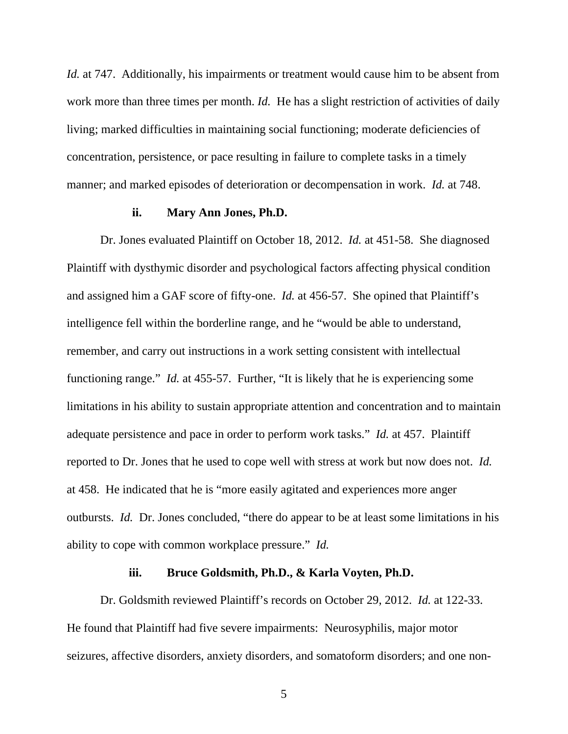*Id.* at 747. Additionally, his impairments or treatment would cause him to be absent from work more than three times per month. *Id.* He has a slight restriction of activities of daily living; marked difficulties in maintaining social functioning; moderate deficiencies of concentration, persistence, or pace resulting in failure to complete tasks in a timely manner; and marked episodes of deterioration or decompensation in work. *Id.* at 748.

#### **ii. Mary Ann Jones, Ph.D.**

Dr. Jones evaluated Plaintiff on October 18, 2012. *Id.* at 451-58. She diagnosed Plaintiff with dysthymic disorder and psychological factors affecting physical condition and assigned him a GAF score of fifty-one. *Id.* at 456-57. She opined that Plaintiff's intelligence fell within the borderline range, and he "would be able to understand, remember, and carry out instructions in a work setting consistent with intellectual functioning range." *Id.* at 455-57. Further, "It is likely that he is experiencing some limitations in his ability to sustain appropriate attention and concentration and to maintain adequate persistence and pace in order to perform work tasks." *Id.* at 457. Plaintiff reported to Dr. Jones that he used to cope well with stress at work but now does not. *Id.* at 458. He indicated that he is "more easily agitated and experiences more anger outbursts. *Id.* Dr. Jones concluded, "there do appear to be at least some limitations in his ability to cope with common workplace pressure." *Id.*

### **iii. Bruce Goldsmith, Ph.D., & Karla Voyten, Ph.D.**

Dr. Goldsmith reviewed Plaintiff's records on October 29, 2012. *Id.* at 122-33. He found that Plaintiff had five severe impairments: Neurosyphilis, major motor seizures, affective disorders, anxiety disorders, and somatoform disorders; and one non-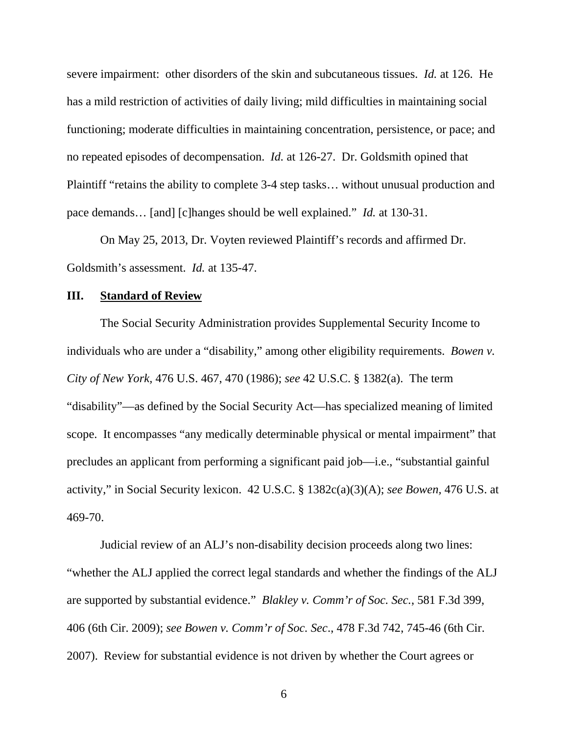severe impairment: other disorders of the skin and subcutaneous tissues. *Id.* at 126. He has a mild restriction of activities of daily living; mild difficulties in maintaining social functioning; moderate difficulties in maintaining concentration, persistence, or pace; and no repeated episodes of decompensation. *Id.* at 126-27. Dr. Goldsmith opined that Plaintiff "retains the ability to complete 3-4 step tasks… without unusual production and pace demands… [and] [c]hanges should be well explained." *Id.* at 130-31.

On May 25, 2013, Dr. Voyten reviewed Plaintiff's records and affirmed Dr. Goldsmith's assessment. *Id.* at 135-47.

#### **III. Standard of Review**

The Social Security Administration provides Supplemental Security Income to individuals who are under a "disability," among other eligibility requirements. *Bowen v. City of New York,* 476 U.S. 467, 470 (1986); *see* 42 U.S.C. § 1382(a). The term "disability"—as defined by the Social Security Act—has specialized meaning of limited scope. It encompasses "any medically determinable physical or mental impairment" that precludes an applicant from performing a significant paid job—i.e., "substantial gainful activity," in Social Security lexicon. 42 U.S.C. § 1382c(a)(3)(A); *see Bowen,* 476 U.S. at 469-70.

Judicial review of an ALJ's non-disability decision proceeds along two lines: "whether the ALJ applied the correct legal standards and whether the findings of the ALJ are supported by substantial evidence." *Blakley v. Comm'r of Soc. Sec.*, 581 F.3d 399, 406 (6th Cir. 2009); *see Bowen v. Comm'r of Soc. Sec*., 478 F.3d 742, 745-46 (6th Cir. 2007). Review for substantial evidence is not driven by whether the Court agrees or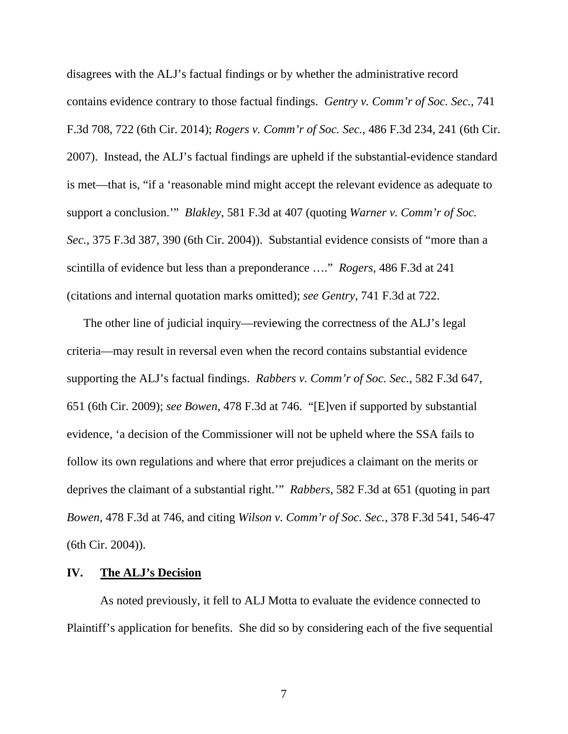disagrees with the ALJ's factual findings or by whether the administrative record contains evidence contrary to those factual findings. *Gentry v. Comm'r of Soc. Sec.*, 741 F.3d 708, 722 (6th Cir. 2014); *Rogers v. Comm'r of Soc. Sec.*, 486 F.3d 234, 241 (6th Cir. 2007). Instead, the ALJ's factual findings are upheld if the substantial-evidence standard is met—that is, "if a 'reasonable mind might accept the relevant evidence as adequate to support a conclusion.'" *Blakley*, 581 F.3d at 407 (quoting *Warner v. Comm'r of Soc. Sec.*, 375 F.3d 387, 390 (6th Cir. 2004)). Substantial evidence consists of "more than a scintilla of evidence but less than a preponderance …." *Rogers*, 486 F.3d at 241 (citations and internal quotation marks omitted); *see Gentry*, 741 F.3d at 722.

The other line of judicial inquiry—reviewing the correctness of the ALJ's legal criteria—may result in reversal even when the record contains substantial evidence supporting the ALJ's factual findings. *Rabbers v. Comm'r of Soc. Sec.*, 582 F.3d 647, 651 (6th Cir. 2009); *see Bowen*, 478 F.3d at 746. "[E]ven if supported by substantial evidence, 'a decision of the Commissioner will not be upheld where the SSA fails to follow its own regulations and where that error prejudices a claimant on the merits or deprives the claimant of a substantial right.'" *Rabbers*, 582 F.3d at 651 (quoting in part *Bowen*, 478 F.3d at 746, and citing *Wilson v. Comm'r of Soc. Sec.*, 378 F.3d 541, 546-47 (6th Cir. 2004)).

### **IV. The ALJ's Decision**

 As noted previously, it fell to ALJ Motta to evaluate the evidence connected to Plaintiff's application for benefits. She did so by considering each of the five sequential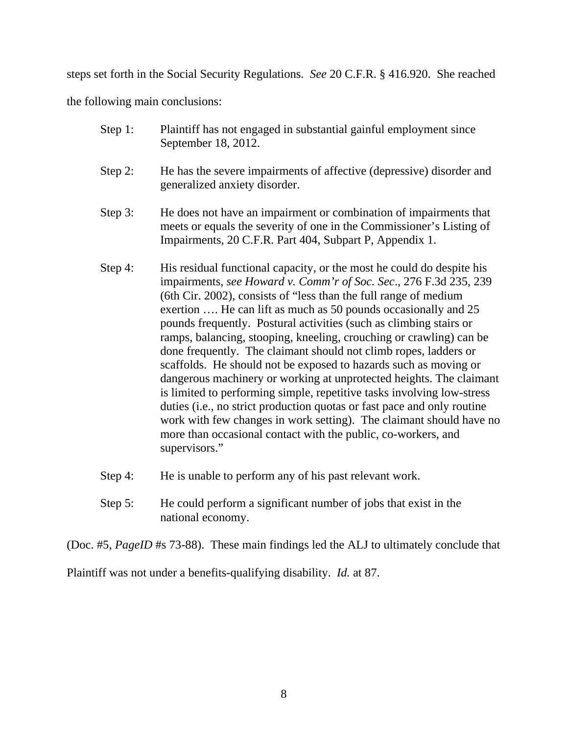steps set forth in the Social Security Regulations. *See* 20 C.F.R. § 416.920. She reached

the following main conclusions:

| Step 1: | Plaintiff has not engaged in substantial gainful employment since<br>September 18, 2012.                                                                                                                                                                                                                                                                                                                                                                                                                                                                                                                                                                                                                                                                                                                                                                                                                                                                   |
|---------|------------------------------------------------------------------------------------------------------------------------------------------------------------------------------------------------------------------------------------------------------------------------------------------------------------------------------------------------------------------------------------------------------------------------------------------------------------------------------------------------------------------------------------------------------------------------------------------------------------------------------------------------------------------------------------------------------------------------------------------------------------------------------------------------------------------------------------------------------------------------------------------------------------------------------------------------------------|
| Step 2: | He has the severe impairments of affective (depressive) disorder and<br>generalized anxiety disorder.                                                                                                                                                                                                                                                                                                                                                                                                                                                                                                                                                                                                                                                                                                                                                                                                                                                      |
| Step 3: | He does not have an impairment or combination of impairments that<br>meets or equals the severity of one in the Commissioner's Listing of<br>Impairments, 20 C.F.R. Part 404, Subpart P, Appendix 1.                                                                                                                                                                                                                                                                                                                                                                                                                                                                                                                                                                                                                                                                                                                                                       |
| Step 4: | His residual functional capacity, or the most he could do despite his<br>impairments, see Howard v. Comm'r of Soc. Sec., 276 F.3d 235, 239<br>(6th Cir. 2002), consists of "less than the full range of medium<br>exertion  He can lift as much as 50 pounds occasionally and 25<br>pounds frequently. Postural activities (such as climbing stairs or<br>ramps, balancing, stooping, kneeling, crouching or crawling) can be<br>done frequently. The claimant should not climb ropes, ladders or<br>scaffolds. He should not be exposed to hazards such as moving or<br>dangerous machinery or working at unprotected heights. The claimant<br>is limited to performing simple, repetitive tasks involving low-stress<br>duties (i.e., no strict production quotas or fast pace and only routine<br>work with few changes in work setting). The claimant should have no<br>more than occasional contact with the public, co-workers, and<br>supervisors." |

- Step 4: He is unable to perform any of his past relevant work.
- Step 5: He could perform a significant number of jobs that exist in the national economy.

(Doc. #5, *PageID* #s 73-88). These main findings led the ALJ to ultimately conclude that

Plaintiff was not under a benefits-qualifying disability. *Id.* at 87.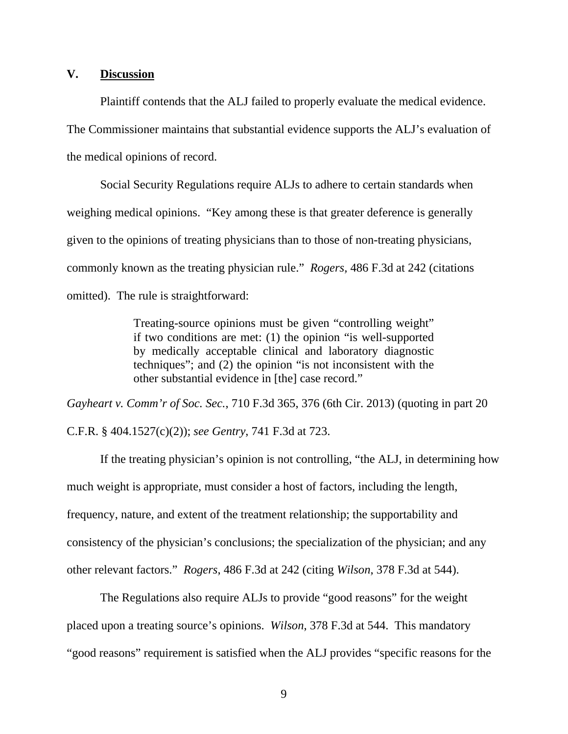# **V. Discussion**

Plaintiff contends that the ALJ failed to properly evaluate the medical evidence. The Commissioner maintains that substantial evidence supports the ALJ's evaluation of the medical opinions of record.

Social Security Regulations require ALJs to adhere to certain standards when weighing medical opinions. "Key among these is that greater deference is generally given to the opinions of treating physicians than to those of non-treating physicians, commonly known as the treating physician rule." *Rogers,* 486 F.3d at 242 (citations omitted). The rule is straightforward:

> Treating-source opinions must be given "controlling weight" if two conditions are met: (1) the opinion "is well-supported by medically acceptable clinical and laboratory diagnostic techniques"; and (2) the opinion "is not inconsistent with the other substantial evidence in [the] case record."

*Gayheart v. Comm'r of Soc. Sec.*, 710 F.3d 365, 376 (6th Cir. 2013) (quoting in part 20 C.F.R. § 404.1527(c)(2)); *see Gentry*, 741 F.3d at 723.

If the treating physician's opinion is not controlling, "the ALJ, in determining how much weight is appropriate, must consider a host of factors, including the length, frequency, nature, and extent of the treatment relationship; the supportability and consistency of the physician's conclusions; the specialization of the physician; and any other relevant factors." *Rogers*, 486 F.3d at 242 (citing *Wilson*, 378 F.3d at 544).

 The Regulations also require ALJs to provide "good reasons" for the weight placed upon a treating source's opinions. *Wilson*, 378 F.3d at 544. This mandatory "good reasons" requirement is satisfied when the ALJ provides "specific reasons for the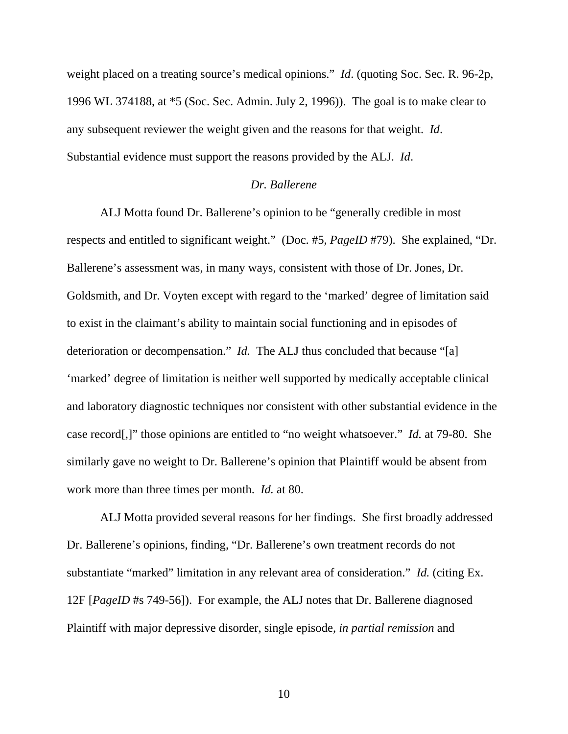weight placed on a treating source's medical opinions." *Id*. (quoting Soc. Sec. R. 96-2p, 1996 WL 374188, at \*5 (Soc. Sec. Admin. July 2, 1996)). The goal is to make clear to any subsequent reviewer the weight given and the reasons for that weight. *Id*. Substantial evidence must support the reasons provided by the ALJ. *Id*.

# *Dr. Ballerene*

ALJ Motta found Dr. Ballerene's opinion to be "generally credible in most respects and entitled to significant weight." (Doc. #5, *PageID* #79). She explained, "Dr. Ballerene's assessment was, in many ways, consistent with those of Dr. Jones, Dr. Goldsmith, and Dr. Voyten except with regard to the 'marked' degree of limitation said to exist in the claimant's ability to maintain social functioning and in episodes of deterioration or decompensation." *Id.* The ALJ thus concluded that because "[a] 'marked' degree of limitation is neither well supported by medically acceptable clinical and laboratory diagnostic techniques nor consistent with other substantial evidence in the case record[,]" those opinions are entitled to "no weight whatsoever." *Id.* at 79-80. She similarly gave no weight to Dr. Ballerene's opinion that Plaintiff would be absent from work more than three times per month. *Id.* at 80.

ALJ Motta provided several reasons for her findings. She first broadly addressed Dr. Ballerene's opinions, finding, "Dr. Ballerene's own treatment records do not substantiate "marked" limitation in any relevant area of consideration." *Id.* (citing Ex. 12F [*PageID* #s 749-56]). For example, the ALJ notes that Dr. Ballerene diagnosed Plaintiff with major depressive disorder, single episode, *in partial remission* and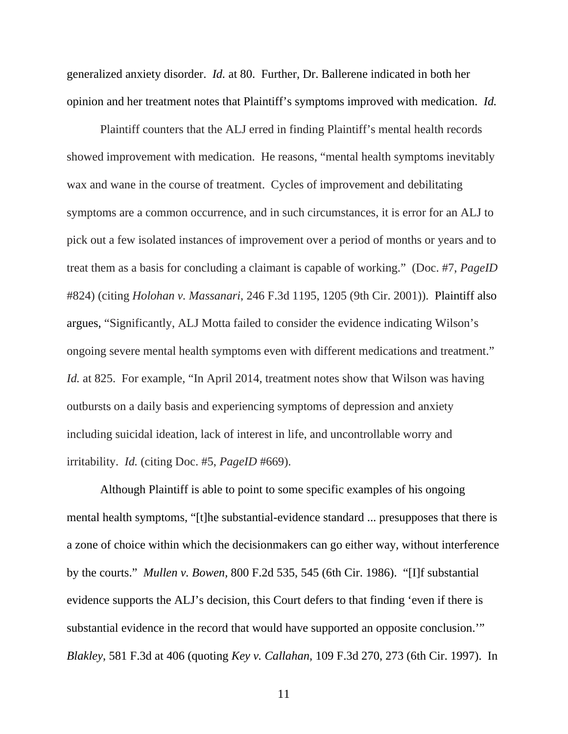generalized anxiety disorder. *Id.* at 80. Further, Dr. Ballerene indicated in both her opinion and her treatment notes that Plaintiff's symptoms improved with medication. *Id.*

Plaintiff counters that the ALJ erred in finding Plaintiff's mental health records showed improvement with medication. He reasons, "mental health symptoms inevitably wax and wane in the course of treatment. Cycles of improvement and debilitating symptoms are a common occurrence, and in such circumstances, it is error for an ALJ to pick out a few isolated instances of improvement over a period of months or years and to treat them as a basis for concluding a claimant is capable of working." (Doc. #7, *PageID* #824) (citing *Holohan v. Massanari*, 246 F.3d 1195, 1205 (9th Cir. 2001)). Plaintiff also argues, "Significantly, ALJ Motta failed to consider the evidence indicating Wilson's ongoing severe mental health symptoms even with different medications and treatment." *Id.* at 825. For example, "In April 2014, treatment notes show that Wilson was having outbursts on a daily basis and experiencing symptoms of depression and anxiety including suicidal ideation, lack of interest in life, and uncontrollable worry and irritability. *Id.* (citing Doc. #5, *PageID* #669).

Although Plaintiff is able to point to some specific examples of his ongoing mental health symptoms, "[t]he substantial-evidence standard ... presupposes that there is a zone of choice within which the decisionmakers can go either way, without interference by the courts." *Mullen v. Bowen,* 800 F.2d 535, 545 (6th Cir. 1986). "[I]f substantial evidence supports the ALJ's decision, this Court defers to that finding 'even if there is substantial evidence in the record that would have supported an opposite conclusion.'" *Blakley*, 581 F.3d at 406 (quoting *Key v. Callahan,* 109 F.3d 270, 273 (6th Cir. 1997). In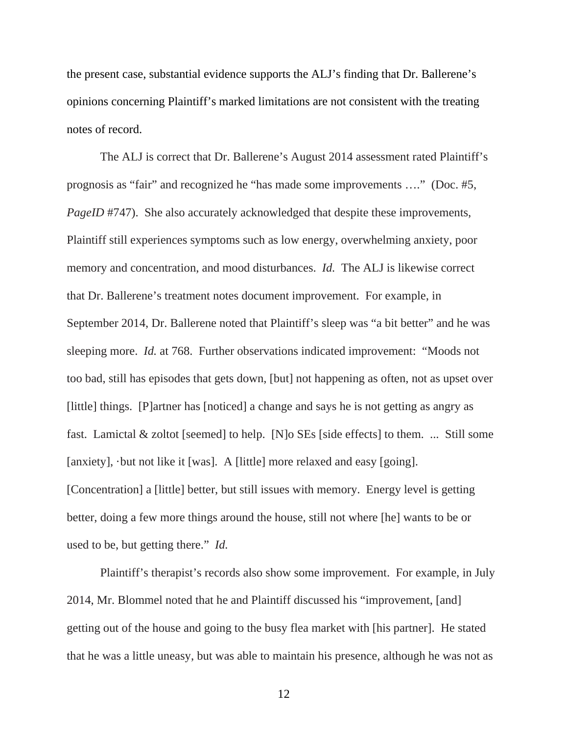the present case, substantial evidence supports the ALJ's finding that Dr. Ballerene's opinions concerning Plaintiff's marked limitations are not consistent with the treating notes of record.

The ALJ is correct that Dr. Ballerene's August 2014 assessment rated Plaintiff's prognosis as "fair" and recognized he "has made some improvements …." (Doc. #5, *PageID* #747). She also accurately acknowledged that despite these improvements, Plaintiff still experiences symptoms such as low energy, overwhelming anxiety, poor memory and concentration, and mood disturbances. *Id.* The ALJ is likewise correct that Dr. Ballerene's treatment notes document improvement. For example, in September 2014, Dr. Ballerene noted that Plaintiff's sleep was "a bit better" and he was sleeping more. *Id.* at 768. Further observations indicated improvement: "Moods not too bad, still has episodes that gets down, [but] not happening as often, not as upset over [little] things. [P]artner has [noticed] a change and says he is not getting as angry as fast. Lamictal & zoltot [seemed] to help. [N]o SEs [side effects] to them. ... Still some [anxiety], ·but not like it [was]. A [little] more relaxed and easy [going]. [Concentration] a [little] better, but still issues with memory. Energy level is getting better, doing a few more things around the house, still not where [he] wants to be or used to be, but getting there." *Id.*

Plaintiff's therapist's records also show some improvement. For example, in July 2014, Mr. Blommel noted that he and Plaintiff discussed his "improvement, [and] getting out of the house and going to the busy flea market with [his partner]. He stated that he was a little uneasy, but was able to maintain his presence, although he was not as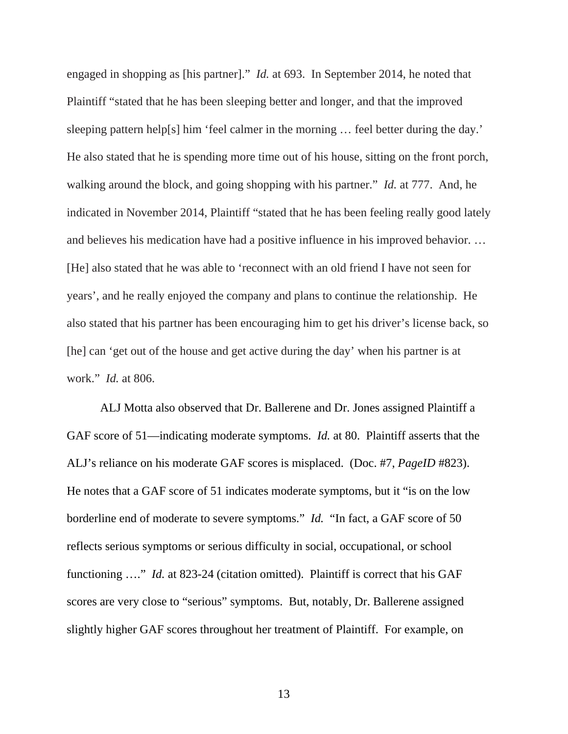engaged in shopping as [his partner]." *Id.* at 693. In September 2014, he noted that Plaintiff "stated that he has been sleeping better and longer, and that the improved sleeping pattern help[s] him 'feel calmer in the morning … feel better during the day.' He also stated that he is spending more time out of his house, sitting on the front porch, walking around the block, and going shopping with his partner." *Id.* at 777. And, he indicated in November 2014, Plaintiff "stated that he has been feeling really good lately and believes his medication have had a positive influence in his improved behavior. … [He] also stated that he was able to 'reconnect with an old friend I have not seen for years', and he really enjoyed the company and plans to continue the relationship. He also stated that his partner has been encouraging him to get his driver's license back, so [he] can 'get out of the house and get active during the day' when his partner is at work." *Id.* at 806.

ALJ Motta also observed that Dr. Ballerene and Dr. Jones assigned Plaintiff a GAF score of 51—indicating moderate symptoms. *Id.* at 80. Plaintiff asserts that the ALJ's reliance on his moderate GAF scores is misplaced. (Doc. #7, *PageID* #823). He notes that a GAF score of 51 indicates moderate symptoms, but it "is on the low borderline end of moderate to severe symptoms." *Id.* "In fact, a GAF score of 50 reflects serious symptoms or serious difficulty in social, occupational, or school functioning …." *Id.* at 823-24 (citation omitted). Plaintiff is correct that his GAF scores are very close to "serious" symptoms. But, notably, Dr. Ballerene assigned slightly higher GAF scores throughout her treatment of Plaintiff. For example, on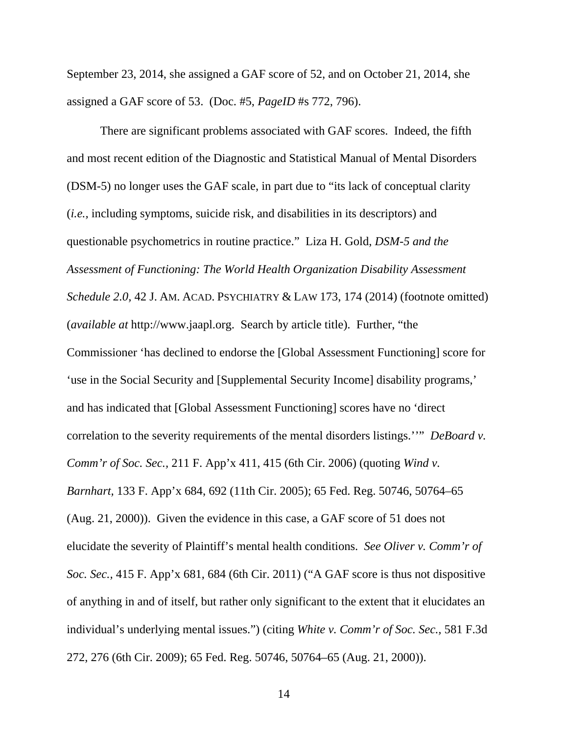September 23, 2014, she assigned a GAF score of 52, and on October 21, 2014, she assigned a GAF score of 53. (Doc. #5, *PageID* #s 772, 796).

There are significant problems associated with GAF scores. Indeed, the fifth and most recent edition of the Diagnostic and Statistical Manual of Mental Disorders (DSM-5) no longer uses the GAF scale, in part due to "its lack of conceptual clarity (*i.e.,* including symptoms, suicide risk, and disabilities in its descriptors) and questionable psychometrics in routine practice." Liza H. Gold, *DSM-5 and the Assessment of Functioning: The World Health Organization Disability Assessment Schedule 2.0,* 42 J. AM. ACAD. PSYCHIATRY & LAW 173, 174 (2014) (footnote omitted) (*available at* http://www.jaapl.org. Search by article title). Further, "the Commissioner 'has declined to endorse the [Global Assessment Functioning] score for 'use in the Social Security and [Supplemental Security Income] disability programs,' and has indicated that [Global Assessment Functioning] scores have no 'direct correlation to the severity requirements of the mental disorders listings.''" *DeBoard v. Comm'r of Soc. Sec.,* 211 F. App'x 411, 415 (6th Cir. 2006) (quoting *Wind v. Barnhart,* 133 F. App'x 684, 692 (11th Cir. 2005); 65 Fed. Reg. 50746, 50764–65 (Aug. 21, 2000)). Given the evidence in this case, a GAF score of 51 does not elucidate the severity of Plaintiff's mental health conditions. *See Oliver v. Comm'r of Soc. Sec.,* 415 F. App'x 681, 684 (6th Cir. 2011) ("A GAF score is thus not dispositive of anything in and of itself, but rather only significant to the extent that it elucidates an individual's underlying mental issues.") (citing *White v. Comm'r of Soc. Sec.,* 581 F.3d 272, 276 (6th Cir. 2009); 65 Fed. Reg. 50746, 50764–65 (Aug. 21, 2000)).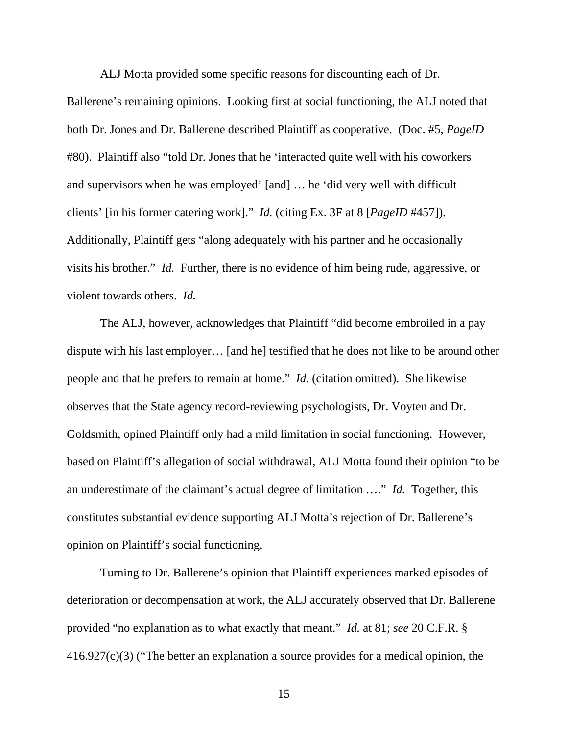ALJ Motta provided some specific reasons for discounting each of Dr.

Ballerene's remaining opinions. Looking first at social functioning, the ALJ noted that both Dr. Jones and Dr. Ballerene described Plaintiff as cooperative. (Doc. #5, *PageID* #80). Plaintiff also "told Dr. Jones that he 'interacted quite well with his coworkers and supervisors when he was employed' [and] … he 'did very well with difficult clients' [in his former catering work]." *Id.* (citing Ex. 3F at 8 [*PageID* #457]). Additionally, Plaintiff gets "along adequately with his partner and he occasionally visits his brother." *Id.* Further, there is no evidence of him being rude, aggressive, or violent towards others. *Id.*

The ALJ, however, acknowledges that Plaintiff "did become embroiled in a pay dispute with his last employer… [and he] testified that he does not like to be around other people and that he prefers to remain at home." *Id.* (citation omitted). She likewise observes that the State agency record-reviewing psychologists, Dr. Voyten and Dr. Goldsmith, opined Plaintiff only had a mild limitation in social functioning. However, based on Plaintiff's allegation of social withdrawal, ALJ Motta found their opinion "to be an underestimate of the claimant's actual degree of limitation …." *Id.* Together, this constitutes substantial evidence supporting ALJ Motta's rejection of Dr. Ballerene's opinion on Plaintiff's social functioning.

Turning to Dr. Ballerene's opinion that Plaintiff experiences marked episodes of deterioration or decompensation at work, the ALJ accurately observed that Dr. Ballerene provided "no explanation as to what exactly that meant." *Id.* at 81; *see* 20 C.F.R. § 416.927(c)(3) ("The better an explanation a source provides for a medical opinion, the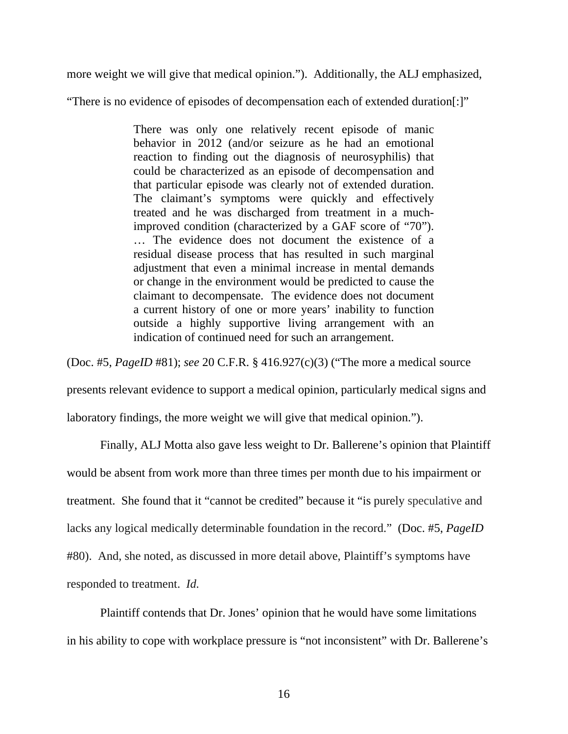more weight we will give that medical opinion."). Additionally, the ALJ emphasized,

"There is no evidence of episodes of decompensation each of extended duration[:]"

There was only one relatively recent episode of manic behavior in 2012 (and/or seizure as he had an emotional reaction to finding out the diagnosis of neurosyphilis) that could be characterized as an episode of decompensation and that particular episode was clearly not of extended duration. The claimant's symptoms were quickly and effectively treated and he was discharged from treatment in a muchimproved condition (characterized by a GAF score of "70"). … The evidence does not document the existence of a residual disease process that has resulted in such marginal adjustment that even a minimal increase in mental demands or change in the environment would be predicted to cause the claimant to decompensate. The evidence does not document a current history of one or more years' inability to function outside a highly supportive living arrangement with an indication of continued need for such an arrangement.

(Doc. #5, *PageID* #81); *see* 20 C.F.R. § 416.927(c)(3) ("The more a medical source

presents relevant evidence to support a medical opinion, particularly medical signs and

laboratory findings, the more weight we will give that medical opinion.").

Finally, ALJ Motta also gave less weight to Dr. Ballerene's opinion that Plaintiff would be absent from work more than three times per month due to his impairment or treatment. She found that it "cannot be credited" because it "is purely speculative and lacks any logical medically determinable foundation in the record." (Doc. #5, *PageID* #80). And, she noted, as discussed in more detail above, Plaintiff's symptoms have responded to treatment. *Id.*

Plaintiff contends that Dr. Jones' opinion that he would have some limitations in his ability to cope with workplace pressure is "not inconsistent" with Dr. Ballerene's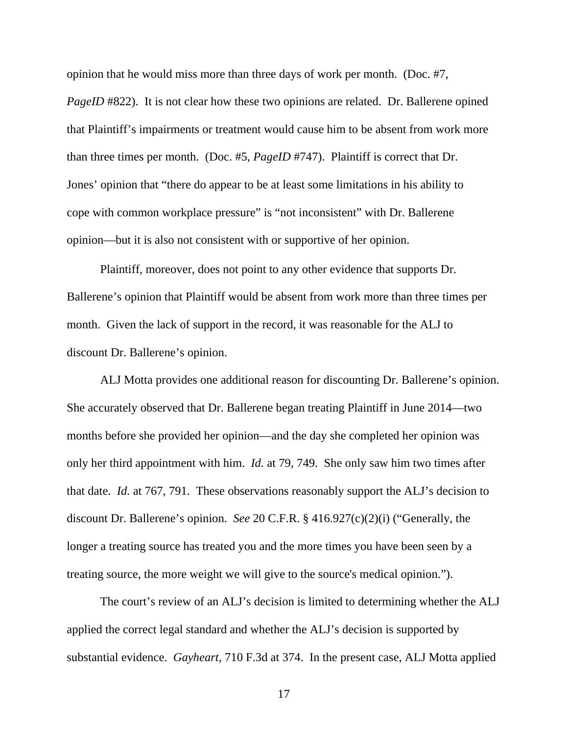opinion that he would miss more than three days of work per month. (Doc. #7,

*PageID* #822). It is not clear how these two opinions are related. Dr. Ballerene opined that Plaintiff's impairments or treatment would cause him to be absent from work more than three times per month. (Doc. #5, *PageID* #747). Plaintiff is correct that Dr. Jones' opinion that "there do appear to be at least some limitations in his ability to cope with common workplace pressure" is "not inconsistent" with Dr. Ballerene opinion—but it is also not consistent with or supportive of her opinion.

Plaintiff, moreover, does not point to any other evidence that supports Dr. Ballerene's opinion that Plaintiff would be absent from work more than three times per month. Given the lack of support in the record, it was reasonable for the ALJ to discount Dr. Ballerene's opinion.

 ALJ Motta provides one additional reason for discounting Dr. Ballerene's opinion. She accurately observed that Dr. Ballerene began treating Plaintiff in June 2014—two months before she provided her opinion—and the day she completed her opinion was only her third appointment with him. *Id.* at 79, 749. She only saw him two times after that date. *Id.* at 767, 791. These observations reasonably support the ALJ's decision to discount Dr. Ballerene's opinion. *See* 20 C.F.R. § 416.927(c)(2)(i) ("Generally, the longer a treating source has treated you and the more times you have been seen by a treating source, the more weight we will give to the source's medical opinion.").

The court's review of an ALJ's decision is limited to determining whether the ALJ applied the correct legal standard and whether the ALJ's decision is supported by substantial evidence. *Gayheart,* 710 F.3d at 374. In the present case, ALJ Motta applied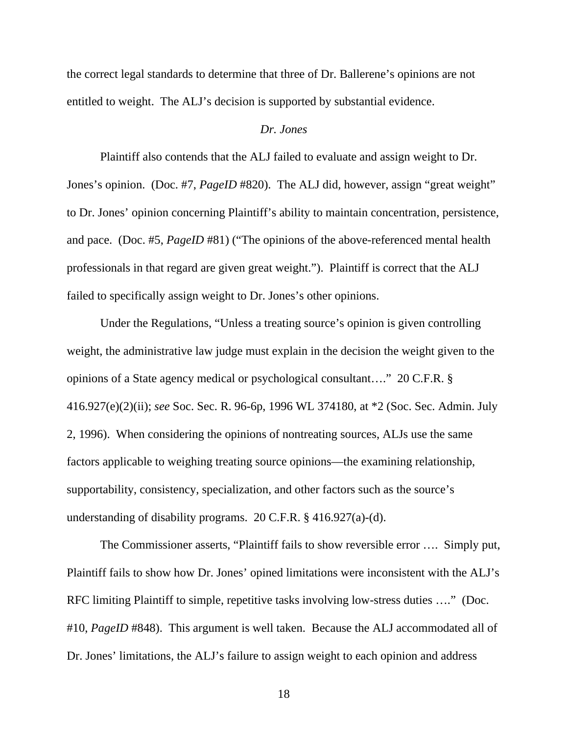the correct legal standards to determine that three of Dr. Ballerene's opinions are not entitled to weight. The ALJ's decision is supported by substantial evidence.

# *Dr. Jones*

Plaintiff also contends that the ALJ failed to evaluate and assign weight to Dr. Jones's opinion. (Doc. #7, *PageID* #820). The ALJ did, however, assign "great weight" to Dr. Jones' opinion concerning Plaintiff's ability to maintain concentration, persistence, and pace. (Doc. #5, *PageID* #81) ("The opinions of the above-referenced mental health professionals in that regard are given great weight."). Plaintiff is correct that the ALJ failed to specifically assign weight to Dr. Jones's other opinions.

Under the Regulations, "Unless a treating source's opinion is given controlling weight, the administrative law judge must explain in the decision the weight given to the opinions of a State agency medical or psychological consultant…." 20 C.F.R. § 416.927(e)(2)(ii); *see* Soc. Sec. R. 96-6p, 1996 WL 374180, at \*2 (Soc. Sec. Admin. July 2, 1996). When considering the opinions of nontreating sources, ALJs use the same factors applicable to weighing treating source opinions—the examining relationship, supportability, consistency, specialization, and other factors such as the source's understanding of disability programs. 20 C.F.R. § 416.927(a)-(d).

The Commissioner asserts, "Plaintiff fails to show reversible error …. Simply put, Plaintiff fails to show how Dr. Jones' opined limitations were inconsistent with the ALJ's RFC limiting Plaintiff to simple, repetitive tasks involving low-stress duties …." (Doc. #10, *PageID* #848). This argument is well taken. Because the ALJ accommodated all of Dr. Jones' limitations, the ALJ's failure to assign weight to each opinion and address